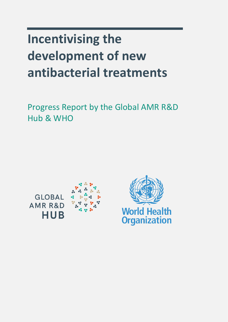# **Incentivising the development of new antibacterial treatments**

Progress Report by the Global AMR R&D Hub & WHO

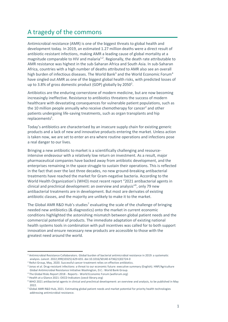## A tragedy of the commons

<span id="page-1-1"></span><span id="page-1-0"></span>Antimicrobial resistance (AMR) is one of the biggest threats to global health and development today. In 2019, an estimated 1.27 million deaths were a direct result of antibiotic-resistant infections, making AMR a leading cause of global mortality at a magnitude comparable to HIV and malaria<sup>1,2</sup>. Regionally, the death rate attributable to AMR resistance was highest in the sub-Saharan Africa and South Asia. In sub-Saharan Africa, countries with a high number of deaths attributed to AMR also see an overall high burden of infectious diseases. The World Bank<sup>3</sup> and the World Economic Forum<sup>4</sup> have singled out AMR as one of the biggest global health risks, with predicted losses of up to 3.8% of gross domestic product (GDP) globally by 2050<sup>2</sup>.

<span id="page-1-2"></span>Antibiotics are the enduring cornerstone of modern medicine, but are now becoming increasingly ineffective. Resistance to antibiotics threatens the success of modern healthcare with devastating consequences for vulnerable patient populations, such as the 10 million people annually who [r](#page-1-0)eceive chemotherapy for cancer<sup>2</sup> and other patients undergoing life-saving treatments, such as organ transplants and hip replacements<sup>5</sup>.

<span id="page-1-5"></span>Today's antibiotics are characterised by an insecure supply chain for existing generic products and a lack of new and innovative products entering the market. Unless action is taken now, we are set to enter an era where routine operations and infections pose a real danger to our lives.

Bringing a new antibiotic to market is a scientifically challenging and resourceintensive endeavour with a relatively low return on investment. As a result, major pharmaceutical companies have backed away from antibiotic development, and the enterprises remaining in the space struggle to sustain their operations. This is reflected in the fact that over the last three decades, no new ground-breaking antibacterial treatments have reached the market for Gram-negative bacteria. According to the World Health Organization's (WHO) most recent report "2021 antibacterial agents in clinical and preclinical development: an overview and analysis"<sup>6</sup> , only 79 new antibacterial treatments are in development. But most are derivates of existing antibiotic classes, and the majority are unlikely to make it to the market.

<span id="page-1-4"></span><span id="page-1-3"></span>The Global AMR R&D Hub's studies<sup>7</sup> evaluating the scale of the challenge of bringing needed new antibiotics (& diagnostics) onto the market in current economic conditions highlighted the astonishing mismatch between global patient needs and the commercial potential of products. The immediate adaptation of existing national health systems tools in combination with pull incentives was called for to both support innovation and ensure necessary new products are accessible to those with the greatest need around the world.

<sup>1</sup> Antimicrobial Resistance Collaborators. [Global burden of bacterial antimicrobial resistance in 2019: a systematic](https://pubmed.ncbi.nlm.nih.gov/35065702/)  analysis. *Lancet*[. 2022;399\(10325\):629-655. doi:10.1016/S0140-6736\(21\)02724-0](https://pubmed.ncbi.nlm.nih.gov/35065702/)

<sup>&</sup>lt;sup>2</sup> ReAct Group, May, 2020[. Successful cancer treatment relies on effective antibiotics.](https://www.reactgroup.org/wp-content/uploads/2020/05/Successful_cancer_treatment_relies_on_effective_antibiotics_ReAct_Policy_Brief_May_2020_web.pdf)

<sup>3</sup> [Jonas et al. Drug-resistant infections:](https://documents.worldbank.org/en/publication/documents-reports/documentdetail/455311493396671601/executive-summary) a threat to our economic future: executive summary (English). HNP/Agriculture [Global Antimicrobial Resistance Initiative Washington, D.C.: World Bank Group.](https://documents.worldbank.org/en/publication/documents-reports/documentdetail/455311493396671601/executive-summary)

<sup>4</sup> The Global Risks Report 2018 - Reports - [World Economic Forum \(weforum.org\)](https://reports.weforum.org/global-risks-2018/anti-microbial-resistance/)

<sup>5</sup> [Health at a Glance 2021: OECD Indicators \(oecd-library.org\)](https://www.oecd-ilibrary.org/sites/8b492d7a-en/index.html?itemId=/content/component/8b492d7a-en)

<sup>6</sup> WHO 2021 antibacterial agents in clinical and preclinical development: an overview and analysis, to be published in May 2022.

<sup>7</sup> Global AMR R&D Hub, 2021[. Estimating global patient needs and market potential for priority health technologies](https://globalamrhub.org/our-work/studies/market-potential-and-priority-patient-needs/)  [addressing antimicrobial resistance.](https://globalamrhub.org/our-work/studies/market-potential-and-priority-patient-needs/)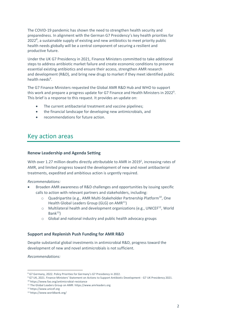The COVID-19 pandemic has shown the need to strengthen health security and preparedness. In alignment with the German G7 Presidency's key health priorities for  $2022<sup>8</sup>$ , a sustainable supply of existing and new antibiotics to meet priority public health needs globally will be a central component of securing a resilient and productive future.

Under the UK G7 Presidency in 2021, Finance Ministers committed to take additional steps to address antibiotic market failure and create economic conditions to preserve essential existing antibiotics and ensure their access, strengthen AMR research and development (R&D), and bring new drugs to market if they meet identified public health needs<sup>9</sup>.

<span id="page-2-0"></span>The G7 Finance Ministers requested the Global AMR R&D Hub and WHO to support this work and prepare a progress update for G7 Finance and Health Ministers in 2022<sup>[9](#page-2-0)</sup>. This brief is a response to this request. It provides an update on:

- The current antibacterial treatment and vaccine pipelines;
- the financial landscape for developing new antimicrobials, and
- recommendations for future action.

## Key action areas

#### **Renew Leadership and Agenda Setting**

With over 1.27 million deaths directly attributable to AMR in 201[9](#page-1-1)<sup>1</sup>, increasing rates of AMR, and limited progress toward the development of new and novel antibacterial treatments, expedited and ambitious action is urgently required.

#### *Recommendations:*

- Broaden AMR awareness of R&D challenges and opportunities by issuing specific calls to action with relevant partners and stakeholders, including:
	- o Quadripartite (e.g., AMR Multi-Stakeholder Partnership Platform<sup>10</sup>, One Health Global Leaders Group (GLG) on AMR<sup>11</sup>)
	- $\circ$  Multilateral health and development organizations (e.g., UNICEF<sup>12</sup>, World  $Bank<sup>13</sup>$
	- o Global and national industry and public health advocacy groups

#### **Support and Replenish Push Funding for AMR R&D**

Despite substantial global investments in antimicrobial R&D, progress toward the development of new and novel antimicrobials is not sufficient.

*Recommendations:* 

<sup>8</sup> [G7 Germany, 2022. Policy Priorities for Germany's G7 Pre](https://www.g7germany.de/resource/blob/998352/2000328/6cb78b73c9f000183e69738c255d9cc9/2022-01-21-g7-programm-en-data.pdf?download=1)sidency in 2022.

<sup>9</sup> [G7 UK, 2021. Finance Ministers' Statement on Actions to Support Antibiotic Development](https://www.g7uk.org/g7-finance-ministers-statement-on-actions-to-support-antibiotic-development/) - G7 UK Presidency 2021.

<sup>10</sup> https://www.fao.org/antimicrobial-resistance

<sup>11</sup> The Global Leaders Group on AMR: [https://www.amrleaders.org](https://www.amrleaders.org/)

<sup>12</sup> https://www.unicef.org

<sup>13</sup> https://www.worldbank.org/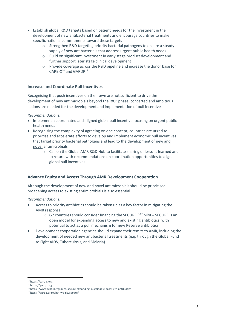- Establish global R&D targets based on patient needs for the investment in the development of new antibacterial treatments and encourage countries to make specific national commitments toward these targets
	- Strengthen R&D targeting priority bacterial pathogens to ensure a steady supply of new antibacterials that address urgent public health needs
	- o Build on significant investment in early stage product development and further support later stage clinical development
	- o Provide coverage across the R&D pipeline and increase the donor base for CARB-X<sup>14</sup> and GARDP<sup>15</sup>

#### **Increase and Coordinate Pull Incentives**

Recognising that push incentives on their own are not sufficient to drive the development of new antimicrobials beyond the R&D phase, concerted and ambitious actions are needed for the development and implementation of pull incentives.

*Recommendations:* 

- <span id="page-3-2"></span><span id="page-3-1"></span>• Implement a coordinated and aligned global pull incentive focusing on urgent public health needs
- Recognising the complexity of agreeing on one concept, countries are urged to prioritise and accelerate efforts to develop and implement economic pull incentives that target priority bacterial pathogens and lead to the development of new and novel antimicrobials
	- o Call on the Global AMR R&D Hub to facilitate sharing of lessons learned and to return with recommendations on coordination opportunities to align global pull incentives

#### **Advance Equity and Access Through AMR Development Cooperation**

Although the development of new and novel antimicrobials should be prioritised, broadening access to existing antimicrobials is also essential.

*Recommendations:* 

- <span id="page-3-0"></span>• Access to priority antibiotics should be taken up as a key factor in mitigating the AMR response
	- $\circ$  G7 countries should consider financing the SECURE<sup>16,17</sup> pilot SECURE is an open model for expanding access to new and existing antibiotics, with potential to act as a pull mechanism for new Reserve antibiotics
- Development cooperation agencies should expand their remits to AMR, including the development of needed new antibacterial treatments (e.g. through the Global Fund to Fight AIDS, Tuberculosis, and Malaria)

<sup>14</sup> https://carb-x.org

<sup>15</sup> https://gardp.org

<sup>16</sup> https://www.who.int/groups/secure-expanding-sustainable-access-to-antibiotics

<sup>17</sup> https://gardp.org/what-we-do/secure/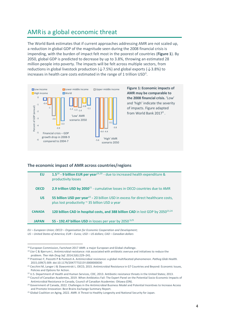## AMRis a global economic threat

The World Bank estimates that if current approaches addressing AMR are not scaled up, a reduction in global GDP of the magnitude seen during the 2008 financial crisis is impending, with the burden of impact felt most in the poorest of countries (**Figure 1**). By 2050, global GDP is predicted to decrease by up to 3.8%, throwing an estimated 28 million people into poverty. The impacts will be felt across multiple sectors, from reductions in global livestock production ( $\downarrow$  7.5%) and global exports ( $\downarrow$  3.8%) to increases in health care costs estimated in the range of 1 trillion  $\text{USD}^3$ [.](#page-1-2)



#### **The economic impact of AMR across countries/regions**

| <b>EU</b>     | 1.5 <sup>18</sup> - 9 billion EUR per year <sup>19,20</sup> - due to increased health expenditure &<br>productivity losses                           |
|---------------|------------------------------------------------------------------------------------------------------------------------------------------------------|
| <b>OECD</b>   | 2.9 trillion USD by $2050^{21}$ - cumulative losses in OECD countries due to AMR                                                                     |
| <b>US</b>     | 55 billion USD per year <sup>22</sup> - 20 billion USD in excess for direct healthcare costs,<br>plus lost productivity $\sim$ 35 billion USD a year |
| <b>CANADA</b> | 120 billion CAD in hospital costs, and 388 billion CAD in lost GDP by 2050 <sup>23,24</sup>                                                          |
| <b>JAPAN</b>  | 55 - 192.47 billion USD in losses per year by $2050^{3,25}$                                                                                          |

*EU – European Union; OECD – Organisation for Economic Cooperation and Development; US – United States of America; EUR – Euros; USD – US dollars; CAD – Canadian dollars*

<sup>&</sup>lt;sup>18</sup> [European Commission, Factsheet 2017 AMR: a major European and Global challenge.](file:///C:/Users/ushal/Desktop/UL%20-%2004.2022/G7%20Report%202022/ec.europa.eu/health/system/files/2020-01/amr_2017_factsheet_0.pdf)

<sup>19</sup> Llor C & Bjerrum L. [Antimicrobial resistance: risk associated with antibiotic overuse and initiatives to reduce the](https://www.ncbi.nlm.nih.gov/pmc/articles/PMC4232501/)  problem. *[Ther Adv Drug Saf.](https://www.ncbi.nlm.nih.gov/pmc/articles/PMC4232501/)* 2014;5(6):229–241.

<sup>20</sup> Prestinaci F, Pezzotti P & Pantosti A. [Antimicrobial resistance: a global multifaceted phenomenon.](https://pubmed.ncbi.nlm.nih.gov/26343252/) *Pathog Glob Health.* [2015;109\(7\):309. doi:10.1179/2047773215Y.0000000030](https://pubmed.ncbi.nlm.nih.gov/26343252/)

<sup>21</sup> Cecchini M, Langer J & Slawomirski L. OECD, 2015[. Antimicrobial Resistance in G7 Countries and Beyond: Economic Issues,](https://www.oecd.org/els/health-systems/Antimicrobial-Resistance-in-G7-Countries-and-Beyond.pdf)  [Policies and Options for Action.](https://www.oecd.org/els/health-systems/Antimicrobial-Resistance-in-G7-Countries-and-Beyond.pdf)

<sup>&</sup>lt;sup>22</sup> U.S. Department of Health and Human Services, CDC, 2013[. Antibiotic resistance threats in the United States; 2013.](https://www.cdc.gov/drugresistance/pdf/ar-threats-2013-508.pdf)

<sup>&</sup>lt;sup>23</sup> Council of Canadian Academies, 2019. When Antibiotics Fail: The Expert Panel on the Potential Socio-Economic Impacts of [Antimicrobial](https://cca-reports.ca/reports/the-potential-socio-economic-impacts-of-antimicrobial-resistance-in-canada/) [Resistance in Canada,](https://cca-reports.ca/reports/the-potential-socio-economic-impacts-of-antimicrobial-resistance-in-canada/) Council of Canadian Academies: Ottawa (ON).

<sup>&</sup>lt;sup>24</sup> Government of Canada, 2022. Challenges in the Antimicrobial Business Model and Potential Incentives to Increase Access [and Promote Innovation: Best Brains Exchange Summary Report.](https://www.canada.ca/en/health-canada/services/publications/drugs-health-products/best-brains-exchange-meeting-antimicrobial-resistance.html#b)

<sup>&</sup>lt;sup>25</sup> [Global Coalition on Aging, 2022. AMR: A Threat to Healthy Longevity and National Security for Japan.](https://globalcoalitiononaging.com/wp-content/uploads/2022/02/GCOA_AMRBrief_Japan_Infographic_20220215.pdf)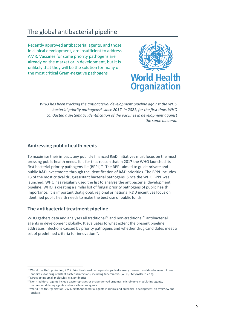## The global antibacterial pipeline

Recently approved antibacterial agents, and those in clinical development, are insufficient to address AMR. Vaccines for some priority pathogens are already on the market or in development, but it is unlikely that they will be the solution for many of the most critical Gram-negative pathogens



<span id="page-5-0"></span>*WHO has been tracking the antibacterial development pipeline against the WHO bacterial priority pathogens<sup>26</sup> since 2017. In 2021, for the first time, WHO conducted a systematic identification of the vaccines in development against the same bacteria.*

#### **Addressing public health needs**

To maximise their impact, any publicly financed R&D initiatives must focus on the most pressing public health needs. It is for that reason that in 2017 the WHO launched its first bacterial priority pathogens list (BPPL)<sup>[26](#page-5-0)</sup>. The BPPL aimed to guide private and public R&D investments through the identification of R&D priorities. The BPPL includes 13 of the most critical drug-resistant bacterial pathogens. Since the WHO BPPL was launched, WHO has regularly used the list to analyse the antibacterial development pipeline. WHO is creating a similar list of fungal priority pathogens of public health importance. It is important that global, regional or national R&D incentives focus on identified public health needs to make the best use of public funds.

#### **The antibacterial treatment pipeline**

<span id="page-5-1"></span>WHO gathers data and analyses all traditional<sup>27</sup> and non-traditional<sup>28</sup> antibacterial agents in development globally. It evaluates to what extent the present pipeline addresses infections caused by priority pathogens and whether drug candidates meet a set of predefined criteria for innovation<sup>29</sup>.

<sup>&</sup>lt;sup>26</sup> World Health Organization, 2017. Prioritization of pathogens to guide discovery, research and development of new [antibiotics for drug-resistant bacterial infections, including tuberculosis. \(WHO/EMP/IAU/2017.12\).](https://www.who.int/publications/i/item/WHO-EMP-IAU-2017.12)

<sup>27</sup> Direct-acting small molecules, e.g. antibiotics

<sup>&</sup>lt;sup>28</sup> Non-traditional agents include bacteriophages or phage-derived enzymes, microbiome-modulating agents, immunomodulating agents and miscellaneous agents.

<sup>&</sup>lt;sup>29</sup> World Health Organization, 2021, 2020 Antibacterial agents in clinical and preclinical development: an overview and [analysis.](https://www.who.int/publications/i/item/9789240021303)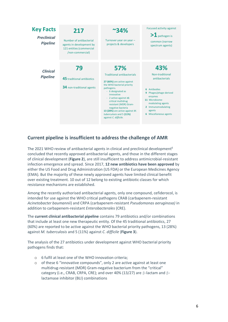

#### **Current pipeline is insufficient to address the challenge of AMR**

The 2021 WHO review of antibacterial agents in clinical and preclinical development<sup>[6](#page-1-3)</sup> concluded that recently approved antibacterial agents, and those in the different stages of clinical development (**Figure 2**), are still insufficient to address antimicrobial-resistant infection emergence and spread. Since 2017, **12 new antibiotics have been approved** by either the US Food and Drug Administration (US FDA) or the European Medicines Agency (EMA). But the majority of these newly approved agents have limited clinical benefit over existing treatment. 10 out of 12 belong to existing antibiotic classes for which resistance mechanisms are established.

Among the recently authorised antibacterial agents, only one compound, cefiderocol, is intended for use against the WHO critical pathogens CRAB (carbapenem-resistant *Acinetobacter baumannii*) and CRPA (carbapenem-resistant *Pseudomonas aeruginosa)* in addition to carbapenem-resistant *Enterobacterales* (CRE).

The **current clinical antibacterial pipeline** contains 79 antibiotics and/or combinations that include at least one new therapeutic entity. Of the 45 traditional antibiotics, 27 (60%) are reported to be active against the WHO bacterial priority pathogens, 13 (28%) against *M. tuberculosis* and 5 (11%) against *C. difficile* (**Figure 3**).

The analysis of the 27 antibiotics under development against WHO bacterial priority pathogens finds that:

- o 6 fulfil at least one of the WHO innovation criteria;
- o of these 6 "innovative compounds", only 2 are active against at least one multidrug-resistant (MDR) Gram-negative bacterium from the "critical" category (i.e., CRAB, CRPA, CRE); and over 40% (13/27) are β-lactam and βlactamase inhibitor (BLI) combinations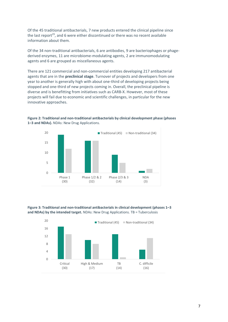Of the 45 traditional antibacterials, 7 new products entered the clinical pipeline since the last report<sup>[29](#page-5-1)</sup>, and 6 were either discontinued or there was no recent available information about them*.*

Of the 34 non-traditional antibacterials, 6 are antibodies, 9 are bacteriophages or phagederived enzymes, 11 are microbiome-modulating agents, 2 are immunomodulating agents and 6 are grouped as miscellaneous agents.

There are 121 commercial and non-commercial entities developing 217 antibacterial agents that are in the **preclinical stage**. Turnover of projects and developers from one year to another is generally high with about one-third of developing projects being stopped and one-third of new projects coming in. Overall, the preclinical pipeline is diverse and is benefitting from initiatives such as CARB-X. However, most of these projects will fail due to economic and scientific challenges, in particular for the new innovative approaches.



**Figure 2: Traditional and non-traditional antibacterials by clinical development phase (phases 1–3 and NDAs).** NDAs: New Drug Applications.

**Figure 3: Traditional and non-traditional antibacterials in clinical development (phases 1–3 and NDAs) by the intended target.** NDAs: New Drug Applications. TB = Tuberculosis

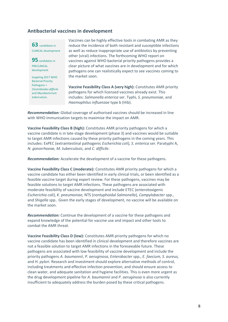#### **Antibacterial vaccines in development**



**95** candidates in PRECLINICAL development

targeting 2017 WHO Bacterial Priority Pathogens + *Clostridioides difficile* and *Mycobacterium tuberculosis*.

Vaccines can be highly effective tools in combating AMR as they reduce the incidence of both resistant and susceptible infections as well as reduce inappropriate use of antibiotics by preventing other (viral) infections. The forthcoming WHO report on vaccines against WHO bacterial priority pathogens provides a clear picture of what vaccines are in development and for which pathogens one can realistically expect to see vaccines coming to the market soon.

**Vaccine Feasibility Class A (very high):** Constitutes AMR priority pathogens for which licensed vaccines already exist. This includes: *Salmonella enterica* ser. Typhi*, S. pneumoniae*, and *Haemophilus influenzae* type b (Hib).

*Recommendation:* Global coverage of authorised vaccines should be increased in line with WHO immunisation targets to maximise the impact on AMR.

**Vaccine Feasibility Class B (high):** Constitutes AMR priority pathogens for which a vaccine candidate is in late-stage development (phase 3) and vaccines would be suitable to target AMR infections caused by these priority pathogens in the coming years. This includes: ExPEC (extraintestinal pathogenic *Escherichia coli*)*, S. enterica ser.* Paratyphi A, *N. gonorrhoeae, M. tuberculosis*, and *C. difficile*.

*Recommendation:* Accelerate the development of a vaccine for these pathogens.

**Vaccine Feasibility Class C (moderate):** Constitutes AMR priority pathogens for which a vaccine candidate has either been identified in early clinical trials, or been identified as a feasible vaccine target during expert review. For these pathogens, vaccines may be feasible solutions to target AMR infections. These pathogens are associated with moderate feasibility of vaccine development and include ETEC (enterotoxigenic *Escherichia coli*), *K. pneumoniae*, NTS (nontyphoidal *Salmonella*)*, Campylobacter* spp*.*, and *Shigella* spp.. Given the early stages of development, no vaccine will be available on the market soon.

*Recommendation:* Continue the development of a vaccine for these pathogens and expand knowledge of the potential for vaccine use and impact and other tools to combat the AMR threat.

**Vaccine Feasibility Class D (low):** Constitutes AMR priority pathogens for which no vaccine candidate has been identified in clinical development and therefore vaccines are not a feasible solution to target AMR infections in the foreseeable future. These pathogens are associated with low feasibility of vaccine development and include the priority pathogens *A. baumannii*, *P. aeruginosa*, *Enterobacter* spp., *E. faecium, S. aureus,*  and *H. pylori*. Research and investment should explore alternative methods of control, including treatments and effective infection prevention, and should ensure access to clean water, and adequate sanitation and hygiene facilities. This is even more urgent as the drug development pipeline for *A. baumannii* and *P. aeruginosa* is also currently insufficient to adequately address the burden posed by these critical pathogens.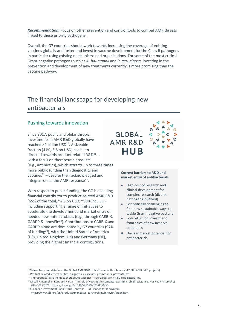*Recommendation:* Focus on other prevention and control tools to combat AMR threats linked to these priority pathogens.

Overall, the G7 countries should work towards increasing the coverage of existing vaccines globally and foster and invest in vaccine development for the Class B pathogens in particular using existing mechanisms and organisations. For some of the most critical Gram-negative pathogens such as *A. baumannii* and *P. aeruginosa,* investing in the prevention and development of new treatments currently is more promising than the vaccine pathway.

## The financial landscape for developing new antibacterials

#### Pushing towards innovation

<span id="page-9-0"></span>Since 2017, public and philanthropic investments in AMR R&D globally have reached >9 billion USD<sup>30</sup>. A sizeable fraction (41%, 3.8 bn USD) has been directed towards product-related  $R&D^{31}$  – with a focus on therapeutic products (e.g., antibiotics), which attracts up to three times more public funding than diagnostics and vaccines $32$  – despite their acknowledged and integral role in the AMR response<sup>33</sup>.

With respect to public funding, the G7 is a leading financial contributor to product-related AMR R&D (65% of the total, ~2.5 bn USD; ~90% incl. EU), including supporting a range of initiatives to accelerate the development and market entry of needed new antimicrobials (e.g., through CARB-X, GARDP & InnovFin<sup>34</sup>). Contributions to CARB-X and GARDP alone are dominated by G7 countries (97% of funding<sup>[30](#page-9-0)</sup>), with the United States of America (US), United Kingdom (UK) and Germany (DE), providing the highest financial contributions.

## **GLOBAL AMR R&D HUB**

#### **Current barriers to R&D and market entry of antibacterials**

- High cost of research and clinical development for complex research (diverse pathogens involved)
- Scientifically challenging to find new sustainable ways to tackle Gram-negative bacteria
- Low return on investment from sales of new Reserve antibiotics
- Unclear market potential for antibacterials

<sup>&</sup>lt;sup>30</sup> Values based on data from the Global AMR R&D Hub's [Dynamic Dashboard](https://dashboard.globalamrhub.org/reports/investments/overview) (>12,300 AMR R&D projects)

 $31$  Product-related = therapeutics, diagnostics, vaccines, promotants, preventatives

<sup>32 &#</sup>x27;Therapeutics', also includes therapeutic vaccines - se[e Global AMR R&D Hub categories.](https://globalamrhub.org/wp-content/uploads/2021/05/Dynamic-Dashboard-Categories-and-Definitions_28042021.pdf)

<sup>33</sup> Micoli F, Bagnoli F, Rappuoli R et al. The role of vaccines in combatting antimicrobial resistance. *Nat Rev Microbiol* 19, 287–302 (2021)[. https://doi.org/10.1038/s41579-020-00506-3](https://doi.org/10.1038/s41579-020-00506-3)

 $34$  European Investment Bank Group, InnovFin – EU Finance for Innovators:

<https://www.eib.org/en/products/mandates-partnerships/innovfin/index.htm>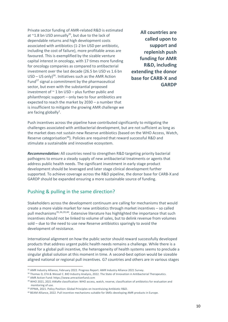<span id="page-10-1"></span><span id="page-10-0"></span>Private sector funding of AMR-related R&D is estimated at  $\approx$  1.8 bn USD annually<sup>35</sup>, but due to the lack of dependable returns and high development costs associated with antibiotics (1-2 bn USD per antibiotic, including the cost of failure), more profitable areas are favoured. This is exemplified by the sizable venture capital interest in oncology, with 17 times more funding for oncology companies as compared to antibacterial investment over the last decade (26.5 bn USD vs 1.6 bn  $USD - US$  only)<sup>36</sup>. Initiatives such as the AMR Action Fund $37$  signal a commitment by the pharmaceutical sector, but even with the substantial proposed investment of  $\sim$  1 bn USD – plus further public and philanthropic support – only two to four antibiotics are expected to reach the market by 2030 – a number that is insufficient to mitigate the growing AMR challenge we are facing globally<sup>1</sup>[.](#page-1-1)

**All countries are called upon to support and replenish push funding for AMR R&D, including extending the donor base for CARB-X and GARDP** 

Push incentives across the pipeline have contributed significantly to mitigating the challenges associated with antibacterial development, but are not sufficient as long as the market does not sustain new Reserve antibiotics (based on the WHO Access, Watch, Reserve categorisation<sup>38</sup>). Policies are required that reward successful R&D and stimulate a sustainable and innovative ecosystem.

*Recommendation:* All countries need to strengthen R&D targeting priority bacterial pathogens to ensure a steady supply of new antibacterial treatments or agents that address public health needs. The significant investment in early stage product development should be leveraged and later stage clinical development further supported. To achieve coverage across the R&D pipeline, the donor base for CARB-X and GARDP should be expanded ensuring a more sustainable source of funding.

#### Pushing & pulling in the same direction?

Stakeholders across the development continuum are calling for mechanisms that would create a more viable market for new antibiotics through market incentives – so called pull mechanisms<sup>[35,](#page-10-0)[36,3](#page-10-1)9,40</sup>. Extensive literature has highlighted the importance that such incentives should not be linked to volume of sales, but to delink revenue from volumes sold – due to the need to use new Reserve antibiotics sparingly to avoid the development of resistance.

International alignment on how the public sector should reward successfully developed products that address urgent public health needs remains a challenge. While there is a need for a global pull incentive, the heterogeneity of health systems seems to preclude a singular global solution at this moment in time. A second-best option would be sizeable aligned national or regional pull incentives. G7 countries and others are in various stages

<sup>&</sup>lt;sup>35</sup> [AMR Industry Alliance, February 2022. Progress Report: AMR Industry Alliance 2021 Survey.](https://www.amrindustryalliance.org/wp-content/uploads/2022/01/AMRIA_progress-report_FINAL.pdf)

<sup>36</sup> [Thomas D, CFA & Wessel C. BIO Industry Analysis, 2022. The State of Innovation in Antibacterial Therapeutics.](https://www.bio.org/sites/default/files/2022-02/The-State-of-Innovation-in-Antibacterial-Therapeutics.pdf)

<sup>37</sup> AMR Action Fund[: https://www.amractionfund.com](https://www.amractionfund.com/)

<sup>&</sup>lt;sup>38</sup> WHO 2021, 2021 AWaRe classification: WHO access, watch, reserve, classification of antibiotics for evaluation and [monitoring of use.](https://www.who.int/publications/i/item/2021-aware-classification)

<sup>39</sup> [IFPMA, 2021. Policy Position: Global Principles on Incentivizing Antibiotic R&D.](https://www.ifpma.org/wp-content/uploads/2021/02/IFPMA-Global-Principles-on-Incentivizing-Antibiotic-RD.pdf)

<sup>40</sup> [BEAM Alliance, 2022. Pull incentive mechanisms suitable for SMEs developing AMR products in Europe.](https://beam-alliance.eu/wp-content/uploads/2022/01/beam-proposal-eu-incentives.pdf)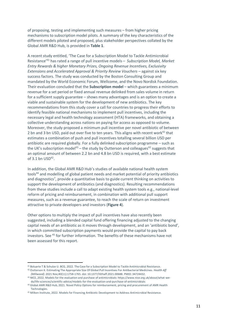of proposing, testing and implementing such measures – from higher pricing mechanisms to subscription model pilots. A summary of the key characteristics of the different models piloted and proposed, plus stakeholder perspectives collated by the Global AMR R&D Hub, is provided in **Table 1**.

<span id="page-11-2"></span>A recent study entitled, 'The Case for a Subscription Model to Tackle Antimicrobial Resistance'<sup>41</sup> has rated a range of pull incentive models – *Subscription Model, Market Entry Rewards & higher Monetary Prizes, Ongoing Revenue Incentives, Exclusivity Extensions and Accelerated Approval & Priority Review Vouchers* – against six key success factors. The study was conducted by the Boston Consulting Group and mandated by the World Economic Forum, Wellcome, and the Novo Nordisk Foundation. Their evaluation concluded that the **Subscription model** – which guarantees a minimum revenue for a set period or fixed annual revenue delinked from sales volume in return for a sufficient supply guarantee – shows many advantages and is an option to create a viable and sustainable system for the development of new antibiotics. The key recommendations from this study cover a call for countries to progress their efforts to identify feasible national mechanisms to implement pull incentives, including the necessary legal and health technology assessment (HTA) frameworks, and obtaining a collective understanding across nations on paying for access as opposed to volume. Moreover, the study proposed a minimum pull incentive per novel antibiotic of between 2 bn and 3 bn USD, paid out over five to ten years. This aligns with recent work<sup>42</sup> that estimates a combination of push and pull incentives totalling several billion USD per antibiotic are required globally. For a fully delinked subscription programme – such as the UK's subscription model<sup>43</sup> – the study by Outterson and colleagues<sup>[42](#page-11-0)</sup> suggests that an optimal amount of between 2.2 bn and 4.8 bn USD is required, with a best estimate of  $3.1$  bn  $USD<sup>42</sup>$  $USD<sup>42</sup>$  $USD<sup>42</sup>$ .

<span id="page-11-3"></span><span id="page-11-1"></span><span id="page-11-0"></span>In addition, the Global AMR R&D Hub's studies of available national health system tools<sup>44</sup> and modelling of global patient needs and market potential of priority antibiotics and diagnostics<sup>7</sup>[,](#page-1-4) provide a quantitative basis to guide current thinking on activities to support the development of antibiotics (and diagnostics). Resulting recommendations from these studies include a call to adapt existing health system tools e.g., national-level reform of pricing and reimbursement, in combination with additional pull support measures, such as a revenue guarantee, to reach the scale of return on investment attractive to private developers and investors (**Figure 4**).

Other options to multiply the impact of pull incentives have also recently been suggested, including a blended capital fund offering financing adjusted to the changing capital needs of an antibiotic as it moves through development, and an 'antibiotic bond', in which committed subscription payments would provide the capital to pay back investors. See <sup>45</sup> for further information. The benefits of these mechanisms have not been assessed for this report.

<sup>41</sup> [Boluarte T & Schulze U. BCG, 2022. The Case for a Subscription Model to Tackle Antimicrobial Resistance.](https://www.bcg.com/publications/2022/model-for-tackling-antimicrobial-resistance)

<sup>42</sup> Outterson K[. Estimating The Appropriate Size Of Global Pull Incentives For Antibacterial Medicines.](https://pubmed.ncbi.nlm.nih.gov/34724432/) *Health Aff [\(Millwood\)](https://pubmed.ncbi.nlm.nih.gov/34724432/)*. 2021 Nov;40(11):1758-1765. doi: 10.1377/hlthaff.2021.00688. PMID: 34724432.

<sup>43</sup> [NICE, 2022. Models for the evaluation and purchase of antimicrobials: https://www.nice.org.uk/about/what-we](https://www.nice.org.uk/about/what-we-do/life-sciences/scientific-advice/models-for-the-evaluation-and-purchase-of-antimicrobials)[do/life-sciences/scientific-advice/models-for-the-evaluation-and-purchase-of-antimicrobials](https://www.nice.org.uk/about/what-we-do/life-sciences/scientific-advice/models-for-the-evaluation-and-purchase-of-antimicrobials)

<sup>44</sup> [Global AMR R&D Hub, 2021. Novel Policy Options for reimbursement, pricing and procurement of AMR Health](https://globalamrhub.org/our-work/studies/studies-gesundheit-osterreich-forschungs-und-planungs-gmbh/)  [Technologies.](https://globalamrhub.org/our-work/studies/studies-gesundheit-osterreich-forschungs-und-planungs-gmbh/)

<sup>45</sup> [Milken Institute, 2022. Models for Financing Antibiotic Development to Address Antimicrobial Resistance.](https://milkeninstitute.org/report/antimicrobial-resistance-antibiotic-development)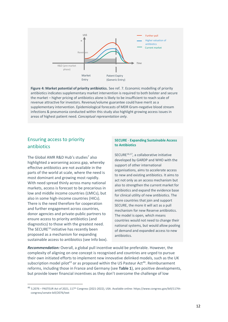

**Figure 4: Market potential of priority antibiotics.** See ref. [7.](#page-1-4) Economic modelling of priority antibiotics indicates supplementary market intervention is required to both bolster and secure the market – higher pricing of antibiotics alone is likely to be insufficient to reach scale of revenue attractive for investors. Revenue/volume guarantee could have merit as a supplementary intervention. Epidemiological forecasts of MDR Gram-negative blood stream infections & pneumonia conducted within this study also highlight growing access issues in areas of highest patient need. *Conceptual representation only.*

#### Ensuring access to priority antibiotics

The Global AMR R&D Hub's studies<sup>[7](#page-1-4)</sup> also highlighted a worsening access gap, whereby effective antibiotics are not available in the parts of the world at scale, where the need is most dominant and growing most rapidly. With need spread thinly across many national markets, access is forecast to be precarious in low and middle income countries (LMICs), but also in some high-income countries (HICs). There is the need therefore for cooperation and further engagement across countries, donor agencies and private-public partners to ensure access to priority antibiotics (and diagnostics) to those with the greatest need. The SECURE<sup>[16](#page-3-0)</sup> initiative has recently been proposed as a mechanism for expanding sustainable access to antibiotics (see Info box).

#### **SECURE** - **Expanding Sustainable Access to Antibiotics**

<span id="page-12-0"></span>SECURE $16,17$ , a collaborative initiative developed by GARDP and WHO with the support of other international organisations, aims to accelerate access to new and existing antibiotics. It aims to act not only as an access mechanism but also to strengthen the current market for antibiotics and expand the evidence base for clinical utility of new antibiotics. The more countries that join and support SECURE, the more it will act as a pull mechanism for new Reserve antibiotics. The model is open, which means countries would not need to change their national systems, but would allow pooling of demand and expanded access to new antibiotics.

*Recommendation:* Overall, a global pull incentive would be preferable. However, the complexity of aligning on one concept is recognised and countries are urged to pursue their own initiated efforts to implement new innovative delinked models, such as the UK subscription model pilot<sup>[43](#page-11-1)</sup> or as proposed within the US Pasteur Act<sup>46</sup>. Reimbursement reforms, including those in France and Germany (see **Table 1**), are positive developments, but provide lower financial incentives as they don't overcome the challenge of low

<sup>46</sup> S.2076 – PASTEUR Act of 2021, 117th Congress (2021-2022), USA. Available online: [https://www.congress.gov/bill/117th](https://www.congress.gov/bill/117th-congress/senate-bill/2076/text)[congress/senate-bill/2076/text](https://www.congress.gov/bill/117th-congress/senate-bill/2076/text)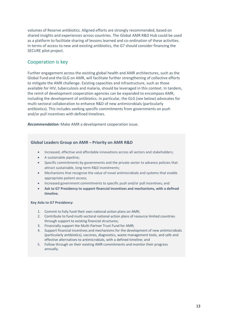volumes of Reserve antibiotics. Aligned efforts are strongly recommended, based on shared insights and experiences across countries. The Global AMR R&D Hub could be used as a platform to facilitate sharing of lessons learned and co-ordination of these activities. In terms of access to new and existing antibiotics, the G7 should consider financing the SECURE pilot project.

#### Cooperation is key

Further engagement across the existing global health and AMR architectures, such as the Global Fund and theGLG on AMR, will facilitate further strengthening of collective efforts to mitigate the AMR challenge. Existing capacities and infrastructure, such as those available for HIV, tuberculosis and malaria, should be leveraged in this context. In tandem, the remit of development cooperation agencies can be expanded to encompass AMR, including the development of antibiotics. In particular, the GLG (see below) advocates for multi-sectoral collaboration to enhance R&D of new antimicrobials (particularly antibiotics). This includes seeking specific commitments from governments on push and/or pull incentives with defined timelines.

*Recommendation:* Make AMR a development cooperation issue.

#### **Global Leaders Group on AMR ̶Priority on AMR R&D**

- Increased, effective and affordable innovations across all sectors and stakeholders;
- A sustainable pipeline;
- Specific commitments by governments and the private sector to advance policies that attract sustainable, long-term R&D investments;
- Mechanisms that recognise the value of novel antimicrobials and systems that enable appropriate patient access;
- Increased government commitments to specific push and/or pull incentives; and
- **Ask to G7 Presidency to support financial incentives and mechanisms, with a defined timeline.**

#### **Key Asks to G7 Presidency:**

- 1. Commit to fully fund their own national action plans on AMR;
- 2. Contribute to fund multi-sectoral national action plans of resource limited countries through support to existing financial structures;
- 3. Financially support the Multi-Partner Trust Fund for AMR;
- 4. Support financial incentives and mechanisms for the development of new antimicrobials (particularly antibiotics), vaccines, diagnostics, waste management tools, and safe and effective alternatives to antimicrobials, with a defined timeline; and
- 5. Follow through on their existing AMR commitments and monitor their progress annually.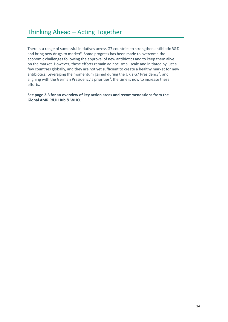## Thinking Ahead – Acting Together

There is a range of successful initiatives across G7 countries to strengthen antibiotic R&D and bring new drugs to market<sup>9</sup>. Some progress has been made to overcome the economic challenges following the approval of new antibiotics and to keep them alive on the market. However, these efforts remain ad hoc, small scale and initiated by just a few countries globally, and they are not yet sufficient to create a healthy market for new antibiotics. Leveraging the momentum gained during the UK's G7 Presidency<sup>9</sup>, and aligning with the German Presidency's priorities<sup>8</sup>, the time is now to increase these efforts.

**See page 2-3 for an overview of key action areas and recommendations from the Global AMR R&D Hub & WHO.**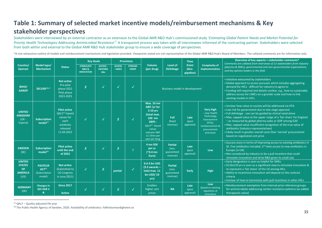## **Table 1: Summary of selected market incentive models/reimbursement mechanisms & Key stakeholder perspectives**

Stakeholders were interviewed by an external contractor as an extension to the Global AMR R&D Hub's commissioned study '*Estimating Global Patient Needs and Market Potential for*  Priority Health Technologies Addressing Antimicrobial Resistance<sup>[7](#page-1-5)7.</sup> A transparent process was taken with all interviewees informed of the contracting partner. Stakeholders were selected from both within and external to the Global AMR R&D Hub stakeholder group to ensure a wide coverage of perspectives.

\*A non-exhaustive outline of models and reimbursement mechanisms and legislation provided. Viewpoints stated are not representative of the Global AMR R&D Hub's Board of Members. The collated comments are for information on

<span id="page-15-0"></span>

|                                                                       | Model type/<br><b>Mechanism</b>                                | <b>Status</b>                                                                                                  | <b>Key Goals</b>                                              |                                           | <b>Provisions</b>        |                                |                                                                                                                                                                      |                                                   | <b>Time</b>                 |                                                                                                                           | Overview of key aspects + stakeholder comments*<br>Comments are collated from interviews of 13 stakeholders from Industry                                                                                                                                                                                                                                                                                                                                                                                                               |
|-----------------------------------------------------------------------|----------------------------------------------------------------|----------------------------------------------------------------------------------------------------------------|---------------------------------------------------------------|-------------------------------------------|--------------------------|--------------------------------|----------------------------------------------------------------------------------------------------------------------------------------------------------------------|---------------------------------------------------|-----------------------------|---------------------------------------------------------------------------------------------------------------------------|-----------------------------------------------------------------------------------------------------------------------------------------------------------------------------------------------------------------------------------------------------------------------------------------------------------------------------------------------------------------------------------------------------------------------------------------------------------------------------------------------------------------------------------------|
| Country/<br><b>Sponsor</b>                                            |                                                                |                                                                                                                | <b>STIMULATE</b><br><b>R&amp;D &amp;</b><br><b>INNOVATION</b> | ACCESS -<br><b>EXISTING</b><br><b>Abs</b> | <b>ACCESS</b><br>- LMICS | <b>STEWAR-</b><br><b>DSHIP</b> | <b>Volume</b><br>(per drug)                                                                                                                                          | Level of<br><b>Delinkage</b>                      | Point<br>(dev.<br>pipeline) | <b>Complexity of</b><br>implementation                                                                                    | (pharma & SMEs), governmental and non-governmental organisations,<br>and key opinion leaders in the field.                                                                                                                                                                                                                                                                                                                                                                                                                              |
| WHO/<br><b>GARDP</b>                                                  | SECURE <sup>16,17</sup>                                        | <b>Not active</b><br>Pre-pilot<br>phase 2022<br>Pilot phase<br>2023-2025                                       | $\sf X$                                                       | √                                         |                          |                                | Business model in development                                                                                                                                        |                                                   |                             |                                                                                                                           | . Initiative welcomed by stakeholders<br>• Global approach to access pursued, which includes aggregating<br>demand for HICs - difficult for industry to agree to<br>. Funding still required and details unclear, e.g., how to sustainably<br>address access for LMICs on a grander scale and how to link<br>existing models in HICs                                                                                                                                                                                                    |
| <b>UNITED</b><br><b>KINGDOM</b><br>$(UK -$<br>England)                | <b>Subscription</b><br>model <sup>43</sup>                     | <b>Pilot active</b><br>QALY <sup>47</sup> -based<br>values for<br>each<br>antibiotic<br>released<br>11.04.2022 |                                                               | √                                         | X                        | $\checkmark$                   | <b>Max. 10 mn</b><br>GBP /vr for<br>$3-10$ yrs<br>(total max.<br>100 mn<br>$GBP$ ) -<br>$QALY^{47}$ -based<br>values<br>indicate~GBP<br>11-19mn per<br>year per drug | Full<br>(fixed<br>revenue)                        | Late<br>(post<br>approval)  | <b>Very high</b><br>- new Health<br>Technology<br>Assessement<br>$(HTA)$ ,<br>reimbursement &<br>procurement<br>processes | . Unclear how value to society will be addressed via HTA<br>• Low risk for government due to late stage approval<br>. Full delinkage - use can be guided by clinical need alone<br>• Max. capped value at the upper range of a 'fair share' for England<br>- as measured by global pharma sales or GDP among G20<br>• Max. capped value insufficient recognition of the true value of<br>antibiotics (industry representatives)<br>. Likely result in greater overall costs than 'normal' procurement<br>based on negotiated unit price |
| <b>SWEDEN</b><br>(SE)                                                 | <b>Subscription</b><br>model <sup>48</sup>                     | <b>Pilot active</b><br>until the end<br>of 2022                                                                | $\overline{X}$                                                | $\checkmark$                              | X                        | $\overline{ }$                 | 4 mn SEK<br>per yr<br>$(^{6}$ 0.4 mn<br>Euro)                                                                                                                        | <b>Partial</b><br>(min)<br>guaranteed<br>revenue) | Late<br>(post<br>approval)  | Low                                                                                                                       | • Success story in terms of improving access to existing antibiotics in<br>SE. Five antibiotics included. 2 <sup>nd</sup> -best access to new antibiotics in<br>Europe (1=UK)<br>. Not considered by industry to be a pull incentive that could<br>stimulate innovation and drive R&D given its small size                                                                                                                                                                                                                              |
| <b>UNITED</b><br><b>STATES</b><br><b>OF</b><br><b>AMERICA</b><br>(US) | <b>PASTEUR</b><br>ACT <sup>46</sup><br>(Subscription<br>model) | <b>Not active</b><br>(Submitted to<br><b>US Congress</b><br>in June 2021)                                      | IJ                                                            | X                                         | partial                  |                                | 0.4-3 bn USD<br>$(3-5$ awards -<br>total max. 11<br><b>bn USD/10</b><br>yrs)                                                                                         | <b>Partial</b><br>(min)<br>guaranteed<br>revenue) | Early                       | High                                                                                                                      | . Early designation is seen as helpful for SMEs<br>. \$11bn/10 yrs is seen as a significant step to stimulate innovation &<br>to represent a 'fair share' of the US among HICs<br>. Ability to incentivise innovation will depend on the contract<br>criteria<br>. Unclear of how to harmonise with pull incentives in other HICs                                                                                                                                                                                                       |
| <b>GERMANY</b><br>(DE)                                                | <b>Changes</b> in<br>§35 SGB V<br>&                            | <b>Since 2017</b><br><b>Active</b>                                                                             |                                                               | √                                         | X                        |                                | Enables<br>higher unit<br>prices                                                                                                                                     | <b>NA</b>                                         | Late<br>(post<br>approval)  | Low<br>(based on existing<br>regulation of<br>innovative                                                                  | . Reimbursement exemption from internal price reference groups<br>for antimicrobials addressing certain resistance patterns (as added<br>therapeutic value)                                                                                                                                                                                                                                                                                                                                                                             |

<sup>47</sup> QALY – Quality-adjusted life year

<sup>48</sup> [The Public Health Agency of Sweden, 2020. Availability of antibiotics: folkhalsomyndigheten.se](https://www.folkhalsomyndigheten.se/the-public-health-agency-of-sweden/communicable-disease-control/antibiotics-and-antimicrobial-resistance/availability-of-antibiotics/)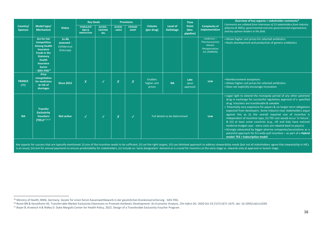| Country/<br><b>Sponsor</b> | Model type/<br><b>Mechanism</b>                                                                                                                                                                                  | <b>Status</b>                                   | <b>Key Goals</b>                                              |                                    | <b>Provisions</b>        |                                |                                  |                              | <b>Time</b>                 |                                                                             | Overview of key aspects + stakeholder comments*<br>Comments are collated from interviews of 13 stakeholders from Industry                                                                                                                                                                                                                                                                                                                                                                                                                                                                                                                                                                                                                                                                        |
|----------------------------|------------------------------------------------------------------------------------------------------------------------------------------------------------------------------------------------------------------|-------------------------------------------------|---------------------------------------------------------------|------------------------------------|--------------------------|--------------------------------|----------------------------------|------------------------------|-----------------------------|-----------------------------------------------------------------------------|--------------------------------------------------------------------------------------------------------------------------------------------------------------------------------------------------------------------------------------------------------------------------------------------------------------------------------------------------------------------------------------------------------------------------------------------------------------------------------------------------------------------------------------------------------------------------------------------------------------------------------------------------------------------------------------------------------------------------------------------------------------------------------------------------|
|                            |                                                                                                                                                                                                                  |                                                 | <b>STIMULATE</b><br><b>R&amp;D &amp;</b><br><b>INNOVATION</b> | ACCESS -<br><b>EXISTING</b><br>Abs | <b>ACCESS</b><br>- LMICS | <b>STEWAR-</b><br><b>DSHIP</b> | <b>Volume</b><br>(per drug)      | Level of<br><b>Delinkage</b> | Point<br>(dev.<br>pipeline) | Complexity of<br>implementation                                             | (pharma & SMEs), governmental and non-governmental organisations,<br>and key opinion leaders in the field.                                                                                                                                                                                                                                                                                                                                                                                                                                                                                                                                                                                                                                                                                       |
|                            | <b>Act for Fair</b><br><b>Competition</b><br><b>Among Health</b><br><b>Insurance</b><br><b>Funds in the</b><br><b>Statutory</b><br><b>Health</b><br><b>Insurance</b><br><b>Sector</b><br>- GKV-FKG <sup>49</sup> | 1xAb<br>assessed -<br>Cefiderocol<br>(Fetcroja) |                                                               |                                    |                          |                                |                                  |                              |                             | $medicines -$<br>Pharmaceuticals<br>Market<br>Reorganisation<br>Act (AMNOG) | • Allows higher unit prices for selected antibiotics<br>. Backs development and production of generic antibiotics                                                                                                                                                                                                                                                                                                                                                                                                                                                                                                                                                                                                                                                                                |
| <b>FRANCE</b><br>(FR)      | <b>Price</b><br>renegotiation<br>for medicines<br>at risk of<br>shortages                                                                                                                                        | <b>Since 2015</b>                               | X                                                             | $\checkmark$                       | $\sf X$                  | X                              | Enables<br>higher unit<br>prices | <b>NA</b>                    | Late<br>(post<br>approval)  | Low                                                                         | • Reimbursement exceptions<br>• Allows higher unit prices for selected antibiotics<br>. Does not explicitly encourage innovation                                                                                                                                                                                                                                                                                                                                                                                                                                                                                                                                                                                                                                                                 |
| <b>NA</b>                  | <b>Transfer</b><br><b>Exclusivity</b><br><b>Vouchers</b><br>(TEEs) <sup>45,50,51</sup>                                                                                                                           | Not active                                      |                                                               | $\checkmark$                       | $\overline{X}$           | √                              | Full details to be determined    |                              |                             | Low                                                                         | . Legal right to extend the monopoly period of any other patented<br>drug in exchange for successful regulatory approval of a specified<br>drug. Vouchers are transferable & saleable<br>• Potentially very expensive for payors & no longer-term obligations<br>expected from developers. Some industry-near stakeholders argue<br>against this as (i) the overall required size of incentive is<br>independent of incentive type, (ii) TEE cost would occur 'in future',<br>& (iii) at least some countries (e.g., UK and Italy have national<br>medicine budget caps - extra costs are rebated back to payors)<br>• Strongly advocated by bigger pharma companies/associations as a<br>potential approach for EU-wide pull incentive - as part of a Hybrid<br>model: TEE + Subscription model |

Key aspects for success that are typically mentioned: (i) size of the incentive needs to be sufficient, (ii) set the right targets, (iii) use delinked approach to address stewardship needs (but not all stakeholders agree t is an issue), (iv) aim for annual payments to ensure predictability for stakeholders, (v) include an 'early designation' element as is crucial for investors at the early stage vs. rewards only at approval or launch stage.

<sup>49</sup> [Ministry of Health, BMG, Germany. Gesetz für einen fairen Kassenwettbewerb in der gesetzlichen Krankenversicherung](https://www.bundesgesundheitsministerium.de/fairer-kassenwettbewerb-gesetz.html) - GKV-FKG.

<sup>50</sup> Rome BN & Kesselheim AS. Transferrable Market Exclusivity Extensions to Promote Antibiotic Development: An Economic Analysis. *Clin Infect Dis*. 2020 Oct 23;71(7):1671-1675[. doi: 10.1093/cid/ciz1039.](https://doi.org/10.1093/cid/ciz1039) 

<sup>51</sup> [Boyer B, Kroetsch A & Ridley D. Duke Margolis Center for Health Policy, 2022. Design of a Transferable Exclusivity Voucher Program.](https://healthpolicy.duke.edu/sites/default/files/2022-01/Transferable%20Exclusivity%20Voucher%20Program.pdf)